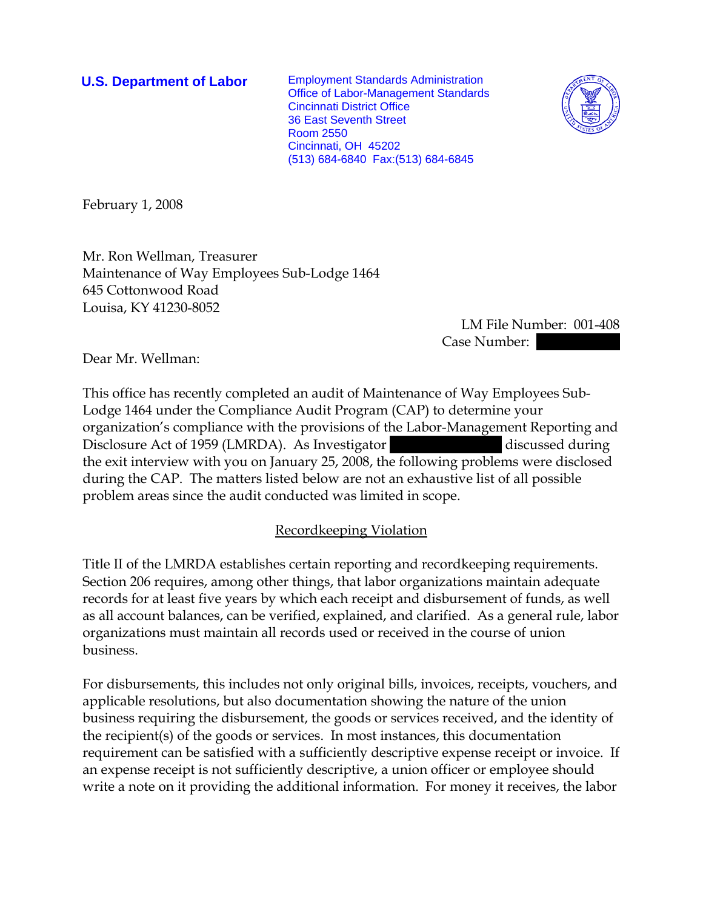**U.S. Department of Labor** Employment Standards Administration Office of Labor-Management Standards Cincinnati District Office 36 East Seventh Street Room 2550 Cincinnati, OH 45202 (513) 684-6840 Fax:(513) 684-6845



February 1, 2008

Mr. Ron Wellman, Treasurer Maintenance of Way Employees Sub-Lodge 1464 645 Cottonwood Road Louisa, KY 41230-8052

 LM File Number: 001-408 Case Number:

Dear Mr. Wellman:

This office has recently completed an audit of Maintenance of Way Employees Sub-Lodge 1464 under the Compliance Audit Program (CAP) to determine your organization's compliance with the provisions of the Labor-Management Reporting and Disclosure Act of 1959 (LMRDA). As Investigator discussed during the exit interview with you on January 25, 2008, the following problems were disclosed during the CAP. The matters listed below are not an exhaustive list of all possible problem areas since the audit conducted was limited in scope.

## Recordkeeping Violation

Title II of the LMRDA establishes certain reporting and recordkeeping requirements. Section 206 requires, among other things, that labor organizations maintain adequate records for at least five years by which each receipt and disbursement of funds, as well as all account balances, can be verified, explained, and clarified. As a general rule, labor organizations must maintain all records used or received in the course of union business.

For disbursements, this includes not only original bills, invoices, receipts, vouchers, and applicable resolutions, but also documentation showing the nature of the union business requiring the disbursement, the goods or services received, and the identity of the recipient(s) of the goods or services. In most instances, this documentation requirement can be satisfied with a sufficiently descriptive expense receipt or invoice. If an expense receipt is not sufficiently descriptive, a union officer or employee should write a note on it providing the additional information. For money it receives, the labor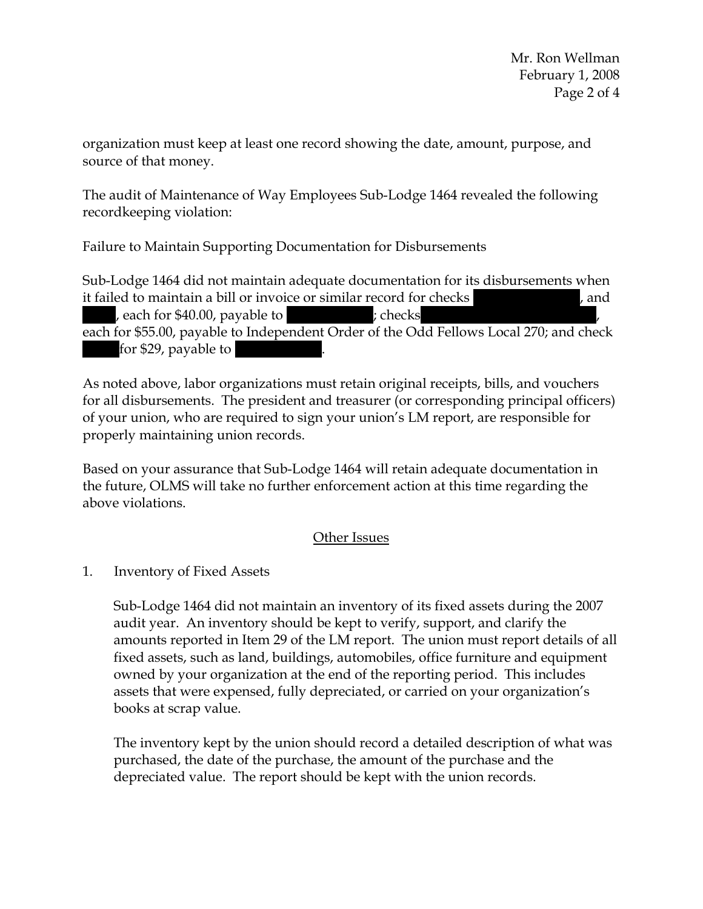organization must keep at least one record showing the date, amount, purpose, and source of that money.

The audit of Maintenance of Way Employees Sub-Lodge 1464 revealed the following recordkeeping violation:

Failure to Maintain Supporting Documentation for Disbursements

Sub-Lodge 1464 did not maintain adequate documentation for its disbursements when it failed to maintain a bill or invoice or similar record for checks |||| |||| ||||, and , each for \$40.00, payable to  $|$ ; checks each for \$55.00, payable to Independent Order of the Odd Fellows Local 270; and check for \$29, payable to  $|$ 

As noted above, labor organizations must retain original receipts, bills, and vouchers for all disbursements. The president and treasurer (or corresponding principal officers) of your union, who are required to sign your union's LM report, are responsible for properly maintaining union records.

Based on your assurance that Sub-Lodge 1464 will retain adequate documentation in the future, OLMS will take no further enforcement action at this time regarding the above violations.

## Other Issues

## 1. Inventory of Fixed Assets

Sub-Lodge 1464 did not maintain an inventory of its fixed assets during the 2007 audit year. An inventory should be kept to verify, support, and clarify the amounts reported in Item 29 of the LM report. The union must report details of all fixed assets, such as land, buildings, automobiles, office furniture and equipment owned by your organization at the end of the reporting period. This includes assets that were expensed, fully depreciated, or carried on your organization's books at scrap value.

The inventory kept by the union should record a detailed description of what was purchased, the date of the purchase, the amount of the purchase and the depreciated value. The report should be kept with the union records.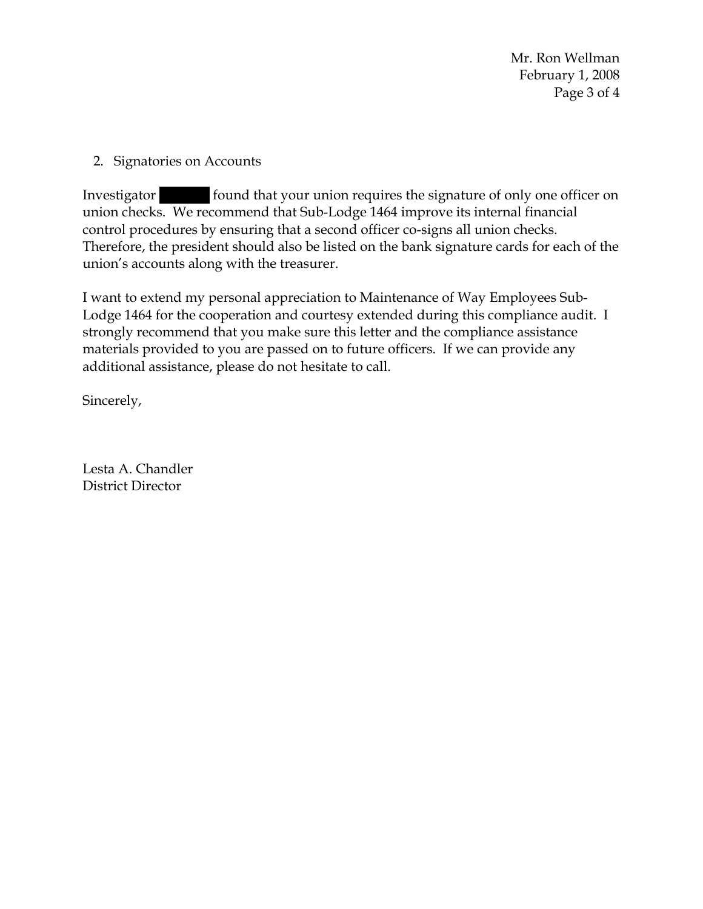Mr. Ron Wellman February 1, 2008 Page 3 of 4

2. Signatories on Accounts

Investigator **induce** found that your union requires the signature of only one officer on union checks. We recommend that Sub-Lodge 1464 improve its internal financial control procedures by ensuring that a second officer co-signs all union checks. Therefore, the president should also be listed on the bank signature cards for each of the union's accounts along with the treasurer.

I want to extend my personal appreciation to Maintenance of Way Employees Sub-Lodge 1464 for the cooperation and courtesy extended during this compliance audit. I strongly recommend that you make sure this letter and the compliance assistance materials provided to you are passed on to future officers. If we can provide any additional assistance, please do not hesitate to call.

Sincerely,

Lesta A. Chandler District Director